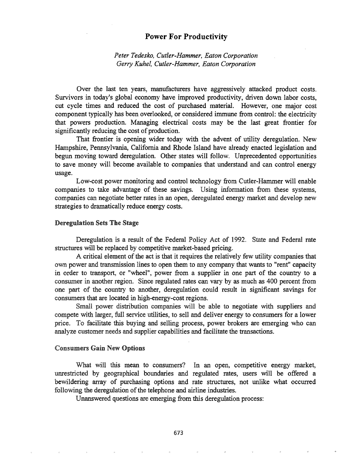# Power For Productivity

*Peter Tedesko, Cutler-Hammer, Eaton Corporation Gerry Kuhel, Cutler-Hammer, Eaton Corporation*

Over the last ten years, manufacturers have aggressively attacked product costs.. Survivors in today's global economy have improved productivity, driven down labor costs, cut cycle times and reduced the cost of purchased material. However, one major cost component typically has been overlooked, or considered immune from control: the electricity that powers production. Managing electrical costs may be the last great frontier for significantly reducing the cost of production.

That frontier is opening wider today with the advent of utility deregulation. New Hampshire, Pennsylvania, California and Rhode Island have already enacted legislation and begun moving toward deregulation. Other states will follow. Unprecedented opportunities to save money will become available to companies that understand and can control energy usage.

Low-cost power monitoring and control technology from Cutler-Hammer will enable companies to take advantage of these savings. Using information from these systems, companies can negotiate better rates in an open, deregulated energy market and develop new strategies to dramatically reduce energy costs.

### Deregulation Sets The Stage

Deregulation is a result of the Federal Policy Act of 1992. State and Federal rate structures will be replaced by competitive market-based pricing.

A critical element of the act is that it requires the relatively few utility companies that own power and transmission lines to open them to any company that wants to "rent" capacity in order to transport, or "wheel", power from a supplier in one part of the country to a consumer in another region. Since regulated rates can vary by as much as 400 percent from one part of the country to another, deregulation could result in significant savings for consumers that are located in high-energy-cost regions.

Small power distribution companies will be able to negotiate with suppliers and compete with larger, full service utilities, to sell and deliver energy to consumers for a lower price.. To facilitate this buying and selling process, power brokers are emerging who can analyze customer needs and supplier capabilities and facilitate the transactions.

#### Consumers Gain New Options

What will this mean to consumers? In an open, competitive energy market, unrestricted by geographical boundaries and regulated rates, users will be offered a bewildering array of purchasing options and rate structures, not unlike what occurred following the deregulation of the telephone and airline industries.

Unanswered questions are emerging from this deregulation process:

673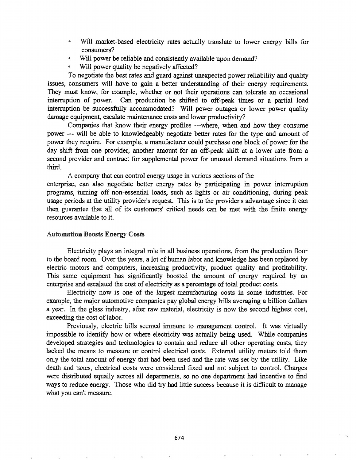- @ Will market-based electricity rates actually translate to lower energy bills for consumers?
- Will power be reliable and consistently available upon demand?
- Will power quality be negatively affected?

To negotiate the best rates and guard against unexpected power reliability and quality issues, consumers will have to gain a better understanding of their energy requirements. They must know, for example, whether or not their operations can tolerate an occasional interruption of power. Can production be shifted to off-peak times or a partial load interruption be successfully accommodated? Will power outages or lower power quality damage equipment, escalate maintenance costs and lower productivity?

Companies that know their energy profiles ---where, when and how they consume power --- will be able to knowledgeably negotiate better rates for the type and amount of power they require. For example, a manufacturer could purchase one block of power for the day shift from one provider, another amount for an off-peak shift at a lower rate from a second provider and contract for supplemental power for unusual demand situations from a third.

A company that can control energy usage in various sections of the

enterprise, can also negotiate better energy rates by participating in power interruption programs, turning off non-essential loads, such as lights or air conditioning, during peak usage periods at the utility provider's request. This is to the provider's advantage since it can then guarantee that all of its customers' critical needs can be met with the finite energy resources available to

### Automation Boosts Energy Costs

Electricity plays an integral role in all business operations, from the production floor to the board room. Over the years, a lot of human labor and knowledge has been replaced by electric motors and computers, increasing productivity, product quality and profitability. This same equipment has significantly boosted the amount of energy required by an enterprise and escalated the cost of electricity as a percentage of total product costs.

Electricity now is one of the largest manufacturing costs in some industries.. For example, the major automotive companies pay global energy bills averaging a billion dollars a year. In the glass industry, after raw material, electricity is now the second highest cost, exceeding the cost of labor.

Previously, electric bills seemed immune to management control. It was virtually impossible to identify how or where electricity was actually being used. While companies developed strategies and technologies to contain and reduce all other operating costs, they lacked the means to measure or control electrical costs. External utility meters told them only the total amount of energy that had been used and the rate was set by the utility.. Like death and taxes, electrical costs were considered fixed and not subject to control. Charges were distributed equally across all departments, so no one department had incentive to find ways to reduce energy. Those who did try had little success because it is difficult to manage what you can't measure.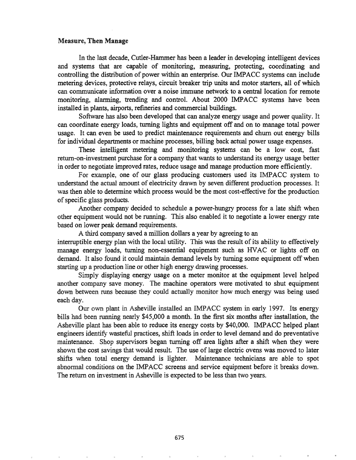## Measure,Then Manage

In the last decade, Cutler-Hammer has been a leader in developing intelligent devices and systems that are capable of monitoring, measuring, protecting, coordinating and controlling the distribution of power within an enterprise. Our IMPACC systems can include metering devices, protective relays, circuit breaker trip units and motor starters, all of which can communicate information over a noise immune network to a central location for remote monitoring, alarming, trending and control. About 2000 IMPACC systems have been installed in plants, airports, refmeries and commercial buildings.

Software has also been developed that can analyze energy usage and power quality. It can coordinate energy loads, turning lights and equipment off and on to manage total power usage. It can even be used to predict maintenance requirements and churn out energy bills for individual departments or machine processes, billing back actual power usage expenses.

These intelligent metering and monitoring systems can be a low cost, fast return-on-investment purchase for a company that wants to understand its energy usage better in order to negotiate improved rates, reduce usage and manage production more efficiently.

For example, one of our glass producing customers used its IMPACC system to understand the actual amount of electricity drawn by seven different production processes. It was then able to determine which process would be the most cost-effective for the production ofspecific glass products.

Another company decided to schedule a power-hungry process for a late shift when other equipment would not be running. This also enabled it to negotiate a lower energy rate based on lower peak demand requirements.

A third company saved a million dollars a year by agreeing to an interruptible energy plan with the local utility. This was the result of its ability to effectively manage energy loads, turning non-essential equipment such as HVAC or lights off on demand. It also found it could maintain demand levels by turning some equipment off when starting up a production line or other high energy drawing processes.

Simply displaying energy usage on a meter monitor at the equipment level helped another company save money. The machine operators were motivated to shut equipment down between runs because they could actually monitor how much energy was being used each day.

Our own plant in Asheville installed an IMPACC system in early 1997. Its energy bills had been running nearly \$45,000 a month. In the first six months after installation, the Asheville plant has been able to reduce its energy costs by \$40,000. IMPACC helped plant engineers identify wasteful practices, shift loads in order to level demand and do preventative maintenance. Shop supervisors began turning off area lights after a shift when they were shown the cost savings that would result. The use of large electric ovens was moved to later shifts when total energy demand is lighter. Maintenance technicians are able to spot abnormal conditions on the IMPACC screens and service equipment before it breaks down. The return on investment in Asheville is expected to be less than two years.